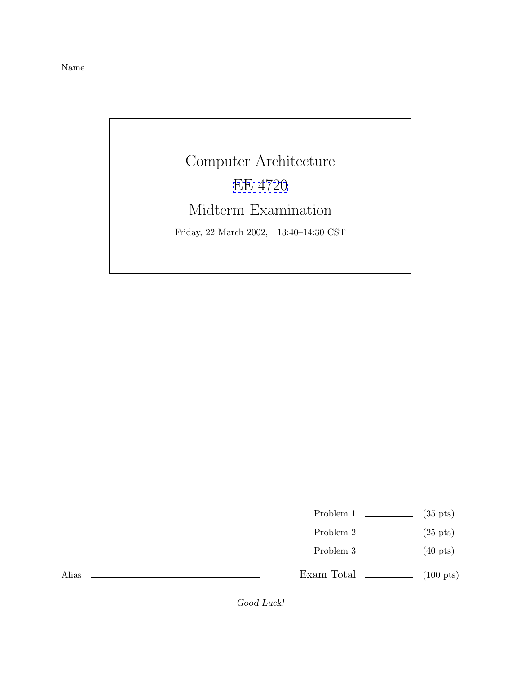Name

Alias

Computer Architecture [EE 4720](http://www.ece.lsu.edu/ee4720/) Midterm Examination Friday, 22 March 2002, 13:40–14:30 CST

Problem 1  $\qquad \qquad$  (35 pts)

- Problem 2  $\qquad \qquad$  (25 pts)
- Problem 3 (40 pts)

Exam Total  $\qquad \qquad$  (100 pts)

Good Luck!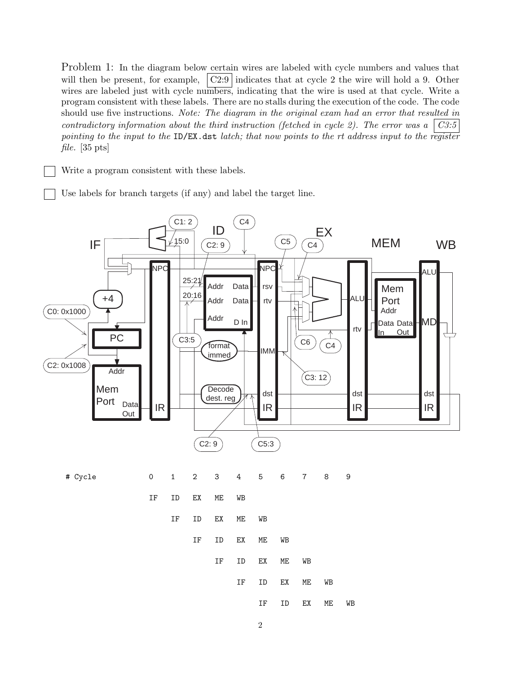Problem 1: In the diagram below certain wires are labeled with cycle numbers and values that will then be present, for example,  $\vert$  C2:9 indicates that at cycle 2 the wire will hold a 9. Other wires are labeled just with cycle numbers, indicating that the wire is used at that cycle. Write a program consistent with these labels. There are no stalls during the execution of the code. The code should use five instructions. *Note: The diagram in the original exam had an error that resulted in contradictory information about the third instruction (fetched in cycle 2). The error was a C3:5 pointing to the input to the* ID/EX.dst *latch; that now points to the rt address input to the register file.* [35 pts]

Write a program consistent with these labels.

Use labels for branch targets (if any) and label the target line.

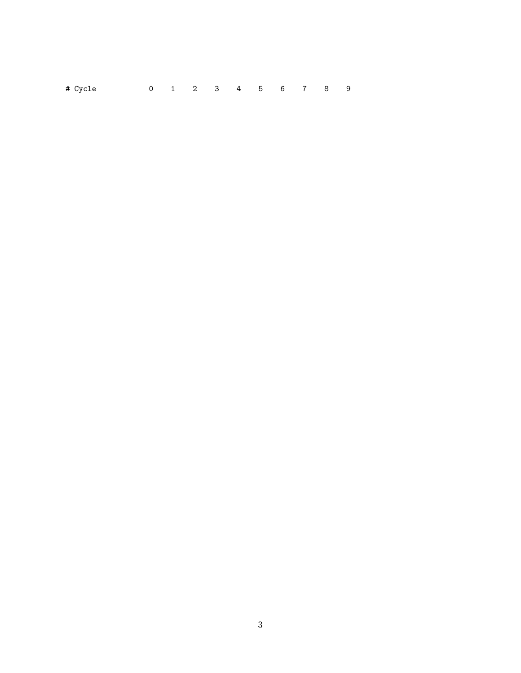| # Cycle |  |  | 0 1 2 3 4 5 6 7 8 9 |  |  |  |
|---------|--|--|---------------------|--|--|--|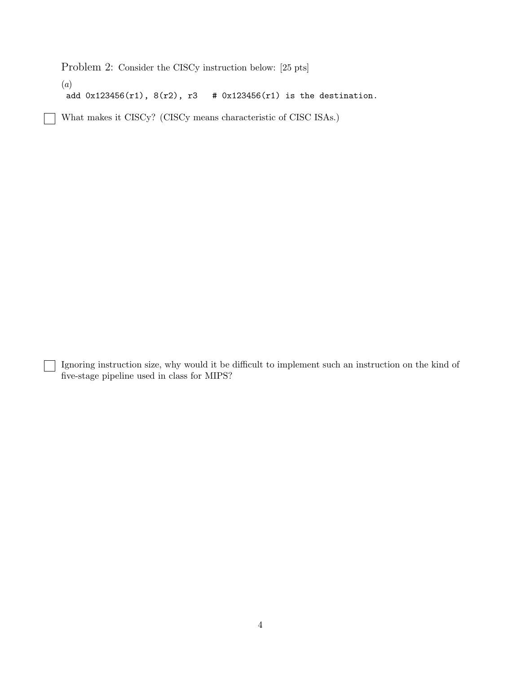Problem 2: Consider the CISCy instruction below: [25 pts]

(*a*)

add 0x123456(r1), 8(r2), r3 # 0x123456(r1) is the destination.

What makes it CISCy? (CISCy means characteristic of CISC ISAs.)

Ignoring instruction size, why would it be difficult to implement such an instruction on the kind of five-stage pipeline used in class for MIPS?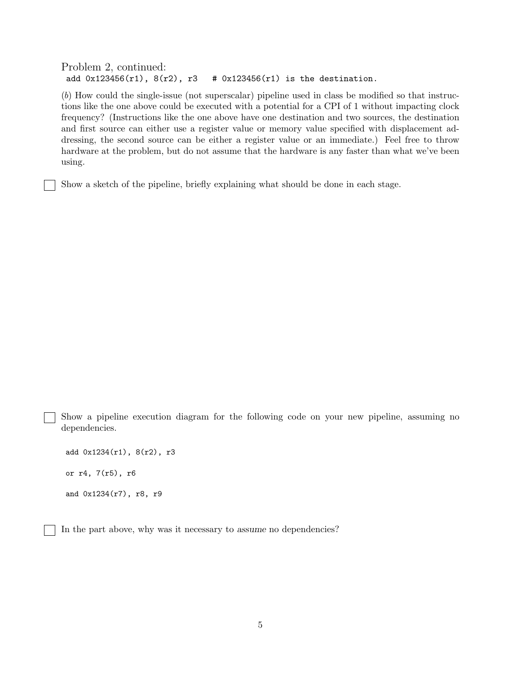Problem 2, continued: add  $0x123456(r1)$ ,  $8(r2)$ ,  $r3$  #  $0x123456(r1)$  is the destination.

(*b*) How could the single-issue (not superscalar) pipeline used in class be modified so that instructions like the one above could be executed with a potential for a CPI of 1 without impacting clock frequency? (Instructions like the one above have one destination and two sources, the destination and first source can either use a register value or memory value specified with displacement addressing, the second source can be either a register value or an immediate.) Feel free to throw hardware at the problem, but do not assume that the hardware is any faster than what we've been using.

Show a sketch of the pipeline, briefly explaining what should be done in each stage.

Show a pipeline execution diagram for the following code on your new pipeline, assuming no dependencies.

add 0x1234(r1), 8(r2), r3 or r4, 7(r5), r6 and 0x1234(r7), r8, r9

In the part above, why was it necessary to assume no dependencies?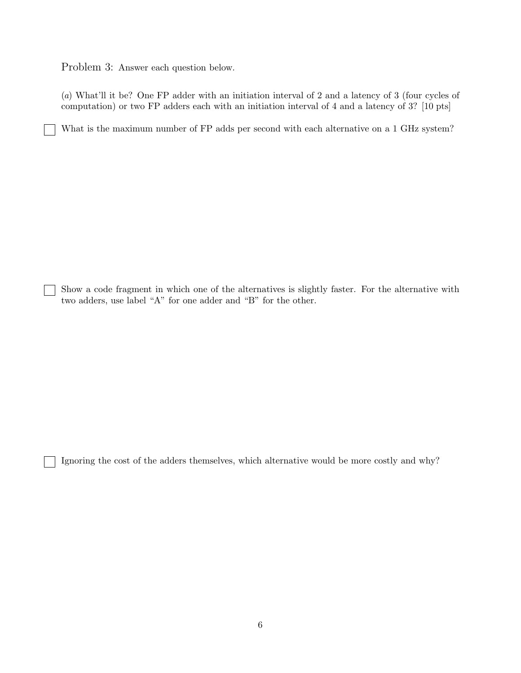Problem 3: Answer each question below.

(*a*) What'll it be? One FP adder with an initiation interval of 2 and a latency of 3 (four cycles of computation) or two FP adders each with an initiation interval of 4 and a latency of 3? [10 pts]

What is the maximum number of FP adds per second with each alternative on a 1 GHz system?

Show a code fragment in which one of the alternatives is slightly faster. For the alternative with two adders, use label "A" for one adder and "B" for the other.

Ignoring the cost of the adders themselves, which alternative would be more costly and why?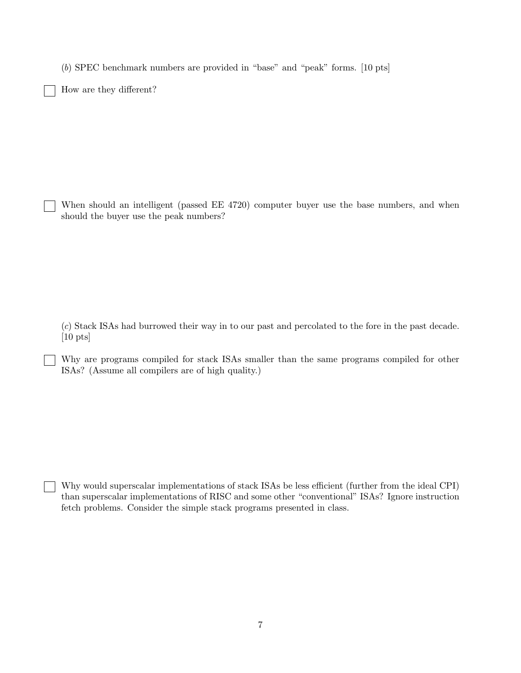(*b*) SPEC benchmark numbers are provided in "base" and "peak" forms. [10 pts]

How are they different?

When should an intelligent (passed EE 4720) computer buyer use the base numbers, and when should the buyer use the peak numbers?

(*c*) Stack ISAs had burrowed their way in to our past and percolated to the fore in the past decade. [10 pts]

Why are programs compiled for stack ISAs smaller than the same programs compiled for other ISAs? (Assume all compilers are of high quality.)

Why would superscalar implementations of stack ISAs be less efficient (further from the ideal CPI) than superscalar implementations of RISC and some other "conventional" ISAs? Ignore instruction fetch problems. Consider the simple stack programs presented in class.